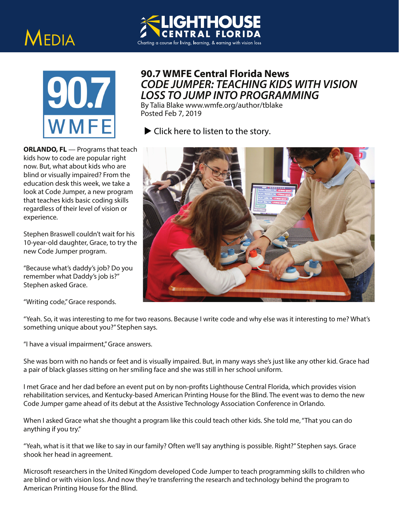## MEDIA



## **90.7 WMFE Central Florida News** *CODE JUMPER: TEACHING KIDS WITH VISION LOSS TO JUMP INTO PROGRAMMING*

By Talia Blake www.wmfe.org/author/tblake Posted Feb 7, 2019

**ITHOUSE** 

 $\blacktriangleright$  [Click here to listen to the story.](https://s3.amazonaws.com/wmfeimages/wp-content/uploads/2019/02/07141341/WEB-VERSION-Code-Jumper.mp3)

Charting a course for living, learning, & earning with vision loss

**ORLANDO, FL** — Programs that teach kids how to code are popular right now. But, what about kids who are blind or visually impaired? From the education desk this week, we take a look at Code Jumper, a new program that teaches kids basic coding skills regardless of their level of vision or experience.

Stephen Braswell couldn't wait for his 10-year-old daughter, Grace, to try the new Code Jumper program.

"Because what's daddy's job? Do you remember what Daddy's job is?" Stephen asked Grace.

## "Writing code," Grace responds.

"Yeah. So, it was interesting to me for two reasons. Because I write code and why else was it interesting to me? What's something unique about you?" Stephen says.

"I have a visual impairment," Grace answers.

She was born with no hands or feet and is visually impaired. But, in many ways she's just like any other kid. Grace had a pair of black glasses sitting on her smiling face and she was still in her school uniform.

I met Grace and her dad before an event put on by non-profits Lighthouse Central Florida, which provides vision rehabilitation services, and Kentucky-based American Printing House for the Blind. The event was to demo the new Code Jumper game ahead of its debut at the Assistive Technology Association Conference in Orlando.

When I asked Grace what she thought a program like this could teach other kids. She told me, "That you can do anything if you try."

"Yeah, what is it that we like to say in our family? Often we'll say anything is possible. Right?" Stephen says. Grace shook her head in agreement.

Microsoft researchers in the United Kingdom developed Code Jumper to teach programming skills to children who are blind or with vision loss. And now they're transferring the research and technology behind the program to American Printing House for the Blind.